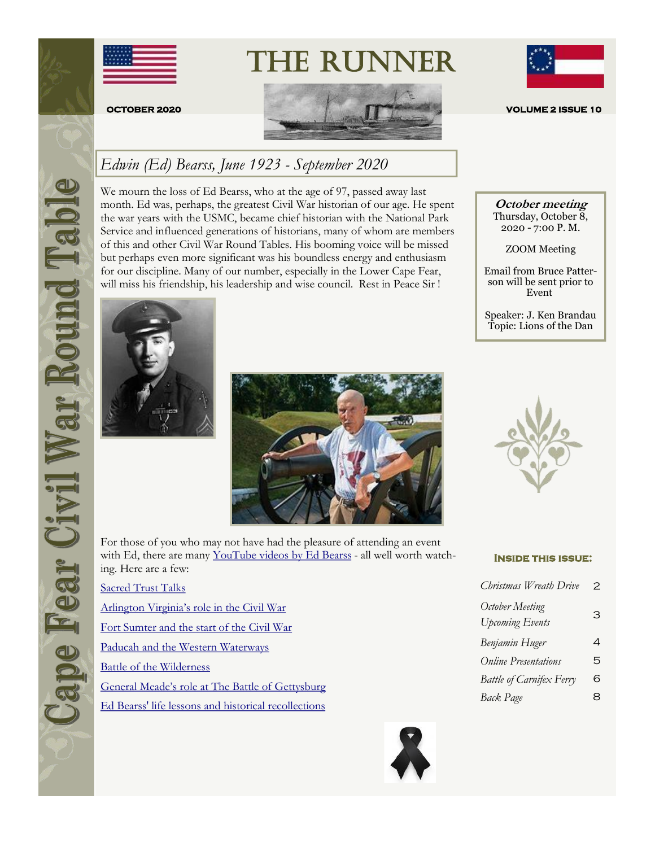





### *Edwin (Ed) Bearss, June 1923 - September 2020*

We mourn the loss of Ed Bearss, who at the age of 97, passed away last month. Ed was, perhaps, the greatest Civil War historian of our age. He spent the war years with the USMC, became chief historian with the National Park Service and influenced generations of historians, many of whom are members of this and other Civil War Round Tables. His booming voice will be missed but perhaps even more significant was his boundless energy and enthusiasm for our discipline. Many of our number, especially in the Lower Cape Fear, will miss his friendship, his leadership and wise council. Rest in Peace Sir !





For those of you who may not have had the pleasure of attending an event with Ed, there are many [YouTube videos by Ed Bearss](https://www.youtube.com/results?search_query=ed+bearss+civil+war+historian) - all well worth watching. Here are a few:

**[Sacred Trust Talks](https://www.youtube.com/watch?v=2bPeFMYmIBA)** [Arlington Virginia's role in the Civil War](https://www.youtube.com/watch?v=Xkn02DoUPMU) [Fort Sumter and the start of the Civil War](https://www.youtube.com/watch?v=ChdiECe4_CY) [Paducah and the Western Waterways](https://www.youtube.com/watch?v=fR_ATezrYmI) [Battle of the Wilderness](https://www.youtube.com/watch?v=QBIs5cbWQ0A) [General Meade's role at The Battle of Gettysburg](https://www.youtube.com/watch?v=LPiOrst-RuQ) [Ed Bearss' life lessons and historical recollections](https://www.youtube.com/watch?v=nYHr8yXHCjg)



**October meeting** Thursday, October 8, 2020 - 7:00 P. M.

ZOOM Meeting

Email from Bruce Patterson will be sent prior to Event

Speaker: J. Ken Brandau Topic: Lions of the Dan



#### **Inside this issue:**

| Christmas Wreath Drive                    | 2 |
|-------------------------------------------|---|
| October Meeting<br><b>Upcoming Events</b> | З |
| Benjamin Huger                            | 4 |
| <b>Online Presentations</b>               | 5 |
| Battle of Carnifex Ferry                  | 6 |
| <b>Back Page</b>                          | 8 |

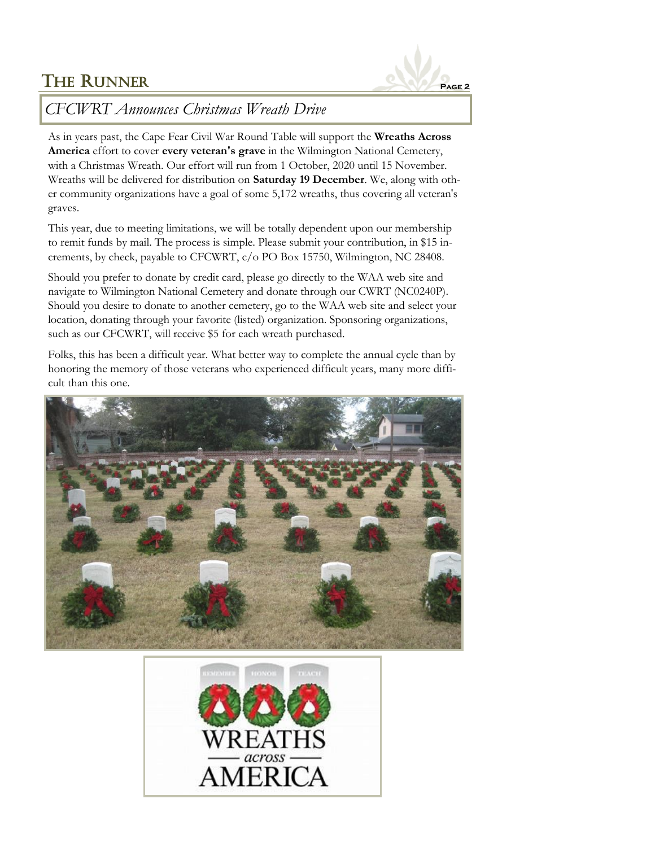

### *CFCWRT Announces Christmas Wreath Drive*

As in years past, the Cape Fear Civil War Round Table will support the **Wreaths Across America** effort to cover **every veteran's grave** in the Wilmington National Cemetery, with a Christmas Wreath. Our effort will run from 1 October, 2020 until 15 November. Wreaths will be delivered for distribution on **Saturday 19 December**. We, along with other community organizations have a goal of some 5,172 wreaths, thus covering all veteran's graves.

This year, due to meeting limitations, we will be totally dependent upon our membership to remit funds by mail. The process is simple. Please submit your contribution, in \$15 increments, by check, payable to CFCWRT, c/o PO Box 15750, Wilmington, NC 28408.

Should you prefer to donate by credit card, please go directly to the WAA web site and navigate to Wilmington National Cemetery and donate through our CWRT (NC0240P). Should you desire to donate to another cemetery, go to the WAA web site and select your location, donating through your favorite (listed) organization. Sponsoring organizations, such as our CFCWRT, will receive \$5 for each wreath purchased.

Folks, this has been a difficult year. What better way to complete the annual cycle than by honoring the memory of those veterans who experienced difficult years, many more difficult than this one.



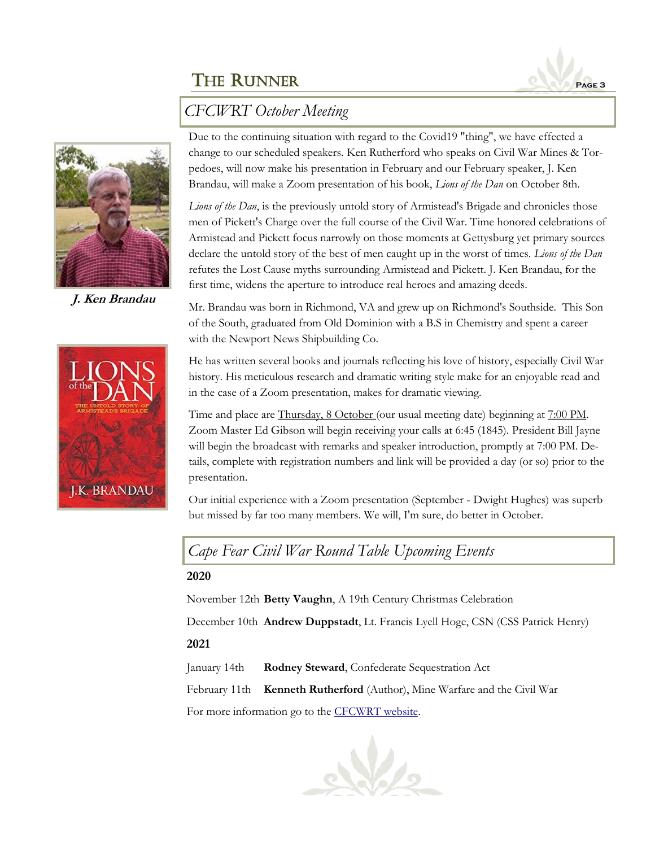



**J. Ken Brandau**



Due to the continuing situation with regard to the Covid19 "thing", we have effected a change to our scheduled speakers. Ken Rutherford who speaks on Civil War Mines & Torpedoes, will now make his presentation in February and our February speaker, J. Ken Brandau, will make a Zoom presentation of his book, *Lions of the Dan* on October 8th.

*Lions of the Dan*, is the previously untold story of Armistead's Brigade and chronicles those men of Pickett's Charge over the full course of the Civil War. Time honored celebrations of Armistead and Pickett focus narrowly on those moments at Gettysburg yet primary sources declare the untold story of the best of men caught up in the worst of times. *Lions of the Dan* refutes the Lost Cause myths surrounding Armistead and Pickett. J. Ken Brandau, for the first time, widens the aperture to introduce real heroes and amazing deeds.

Mr. Brandau was born in Richmond, VA and grew up on Richmond's Southside. This Son of the South, graduated from Old Dominion with a B.S in Chemistry and spent a career with the Newport News Shipbuilding Co.

He has written several books and journals reflecting his love of history, especially Civil War history. His meticulous research and dramatic writing style make for an enjoyable read and in the case of a Zoom presentation, makes for dramatic viewing.

Time and place are Thursday, 8 October (our usual meeting date) beginning at 7:00 PM. Zoom Master Ed Gibson will begin receiving your calls at 6:45 (1845). President Bill Jayne will begin the broadcast with remarks and speaker introduction, promptly at 7:00 PM. Details, complete with registration numbers and link will be provided a day (or so) prior to the presentation.

Our initial experience with a Zoom presentation (September - Dwight Hughes) was superb but missed by far too many members. We will, I'm sure, do better in October.

*Cape Fear Civil War Round Table Upcoming Events*

#### **2020**

November 12th **Betty Vaughn**, A 19th Century Christmas Celebration

December 10th **Andrew Duppstadt**, Lt. Francis Lyell Hoge, CSN (CSS Patrick Henry)

#### **2021**

January 14th **Rodney Steward**, Confederate Sequestration Act

February 11th **Kenneth Rutherford** (Author), Mine Warfare and the Civil War

For more information go to the [CFCWRT website.](http://cfcwrt.org/)

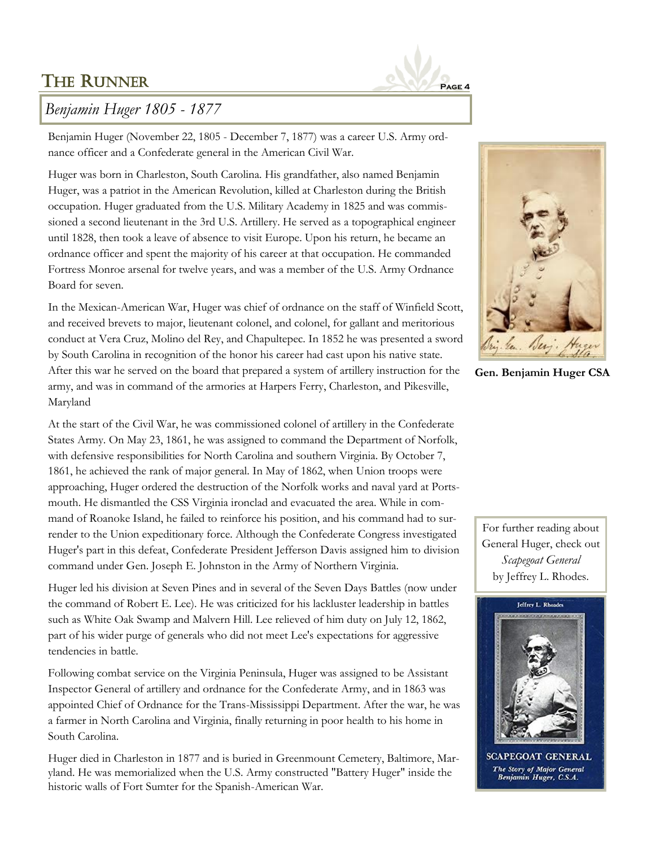

### *Benjamin Huger 1805 - 1877*

Benjamin Huger (November 22, 1805 - December 7, 1877) was a career U.S. Army ordnance officer and a Confederate general in the American Civil War.

Huger was born in Charleston, South Carolina. His grandfather, also named Benjamin Huger, was a patriot in the American Revolution, killed at Charleston during the British occupation. Huger graduated from the U.S. Military Academy in 1825 and was commissioned a second lieutenant in the 3rd U.S. Artillery. He served as a topographical engineer until 1828, then took a leave of absence to visit Europe. Upon his return, he became an ordnance officer and spent the majority of his career at that occupation. He commanded Fortress Monroe arsenal for twelve years, and was a member of the U.S. Army Ordnance Board for seven.

In the Mexican-American War, Huger was chief of ordnance on the staff of Winfield Scott, and received brevets to major, lieutenant colonel, and colonel, for gallant and meritorious conduct at Vera Cruz, Molino del Rey, and Chapultepec. In 1852 he was presented a sword by South Carolina in recognition of the honor his career had cast upon his native state. After this war he served on the board that prepared a system of artillery instruction for the army, and was in command of the armories at Harpers Ferry, Charleston, and Pikesville, Maryland

At the start of the Civil War, he was commissioned colonel of artillery in the Confederate States Army. On May 23, 1861, he was assigned to command the Department of Norfolk, with defensive responsibilities for North Carolina and southern Virginia. By October 7, 1861, he achieved the rank of major general. In May of 1862, when Union troops were approaching, Huger ordered the destruction of the Norfolk works and naval yard at Portsmouth. He dismantled the CSS Virginia ironclad and evacuated the area. While in command of Roanoke Island, he failed to reinforce his position, and his command had to surrender to the Union expeditionary force. Although the Confederate Congress investigated Huger's part in this defeat, Confederate President Jefferson Davis assigned him to division command under Gen. Joseph E. Johnston in the Army of Northern Virginia.

Huger led his division at Seven Pines and in several of the Seven Days Battles (now under the command of Robert E. Lee). He was criticized for his lackluster leadership in battles such as White Oak Swamp and Malvern Hill. Lee relieved of him duty on July 12, 1862, part of his wider purge of generals who did not meet Lee's expectations for aggressive tendencies in battle.

Following combat service on the Virginia Peninsula, Huger was assigned to be Assistant Inspector General of artillery and ordnance for the Confederate Army, and in 1863 was appointed Chief of Ordnance for the Trans-Mississippi Department. After the war, he was a farmer in North Carolina and Virginia, finally returning in poor health to his home in South Carolina.

Huger died in Charleston in 1877 and is buried in Greenmount Cemetery, Baltimore, Maryland. He was memorialized when the U.S. Army constructed "Battery Huger" inside the historic walls of Fort Sumter for the Spanish-American War.



**Gen. Benjamin Huger CSA**

For further reading about General Huger, check out *Scapegoat General*  by Jeffrey L. Rhodes.



**PEGOAT GE** The Story of Major General<br>Benjamin Huger, C.S.A.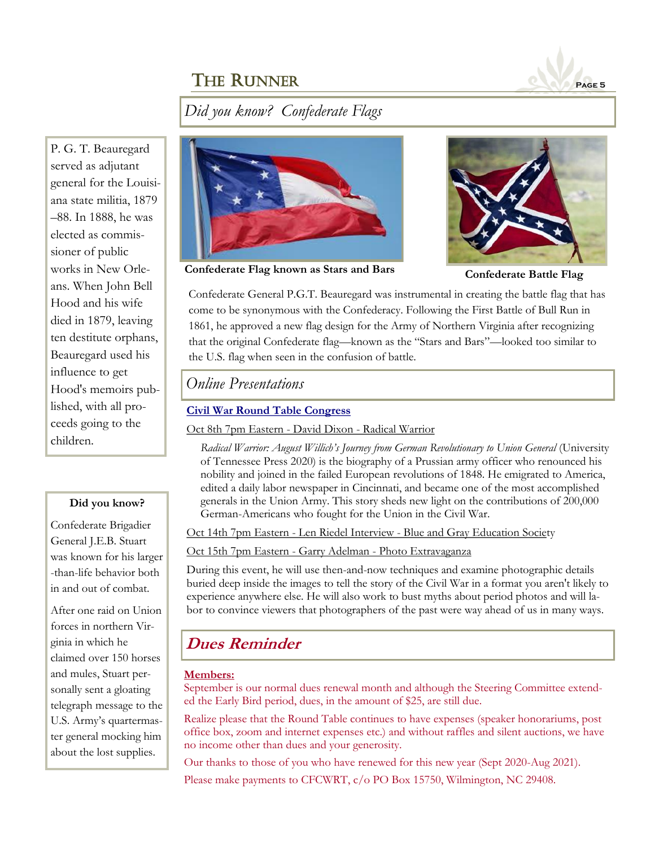

*Did you know? Confederate Flags*

P. G. T. Beauregard served as adjutant general for the Louisiana state militia, 1879 –88. In 1888, he was elected as commissioner of public works in New Orleans. When John Bell Hood and his wife died in 1879, leaving ten destitute orphans, Beauregard used his influence to get Hood's memoirs published, with all proceeds going to the children.

#### **Did you know?**

Confederate Brigadier General J.E.B. Stuart was known for his larger -than-life behavior both in and out of combat.

After one raid on Union forces in northern Virginia in which he claimed over 150 horses and mules, Stuart personally sent a gloating telegraph message to the U.S. Army's quartermaster general mocking him about the lost supplies.



**Confederate Flag known as Stars and Bars Confederate Battle Flag**



Confederate General P.G.T. Beauregard was instrumental in creating the battle flag that has come to be synonymous with the Confederacy. Following the First Battle of Bull Run in 1861, he approved a new flag design for the Army of Northern Virginia after recognizing that the original Confederate flag—known as the "Stars and Bars"—looked too similar to the U.S. flag when seen in the confusion of battle.

### *Online Presentations*

#### **[Civil War Round Table Congress](https://www.cwrtcongress.org/lectures.html)**

Oct 8th 7pm Eastern - David Dixon - Radical Warrior

Radical Warrior: August Willich's Journey from German Revolutionary to Union General (University of Tennessee Press 2020) is the biography of a Prussian army officer who renounced his nobility and joined in the failed European revolutions of 1848. He emigrated to America, edited a daily labor newspaper in Cincinnati, and became one of the most accomplished generals in the Union Army. This story sheds new light on the contributions of 200,000 German-Americans who fought for the Union in the Civil War.

Oct 14th 7pm Eastern - Len Riedel Interview - Blue and Gray Education Society

Oct 15th 7pm Eastern - Garry Adelman - Photo Extravaganza

During this event, he will use then-and-now techniques and examine photographic details buried deep inside the images to tell the story of the Civil War in a format you aren't likely to experience anywhere else. He will also work to bust myths about period photos and will labor to convince viewers that photographers of the past were way ahead of us in many ways.

### **Dues Reminder**

#### **Members:**

September is our normal dues renewal month and although the Steering Committee extended the Early Bird period, dues, in the amount of \$25, are still due.

Realize please that the Round Table continues to have expenses (speaker honorariums, post office box, zoom and internet expenses etc.) and without raffles and silent auctions, we have no income other than dues and your generosity.

Our thanks to those of you who have renewed for this new year (Sept 2020-Aug 2021).

Please make payments to CFCWRT, c/o PO Box 15750, Wilmington, NC 29408.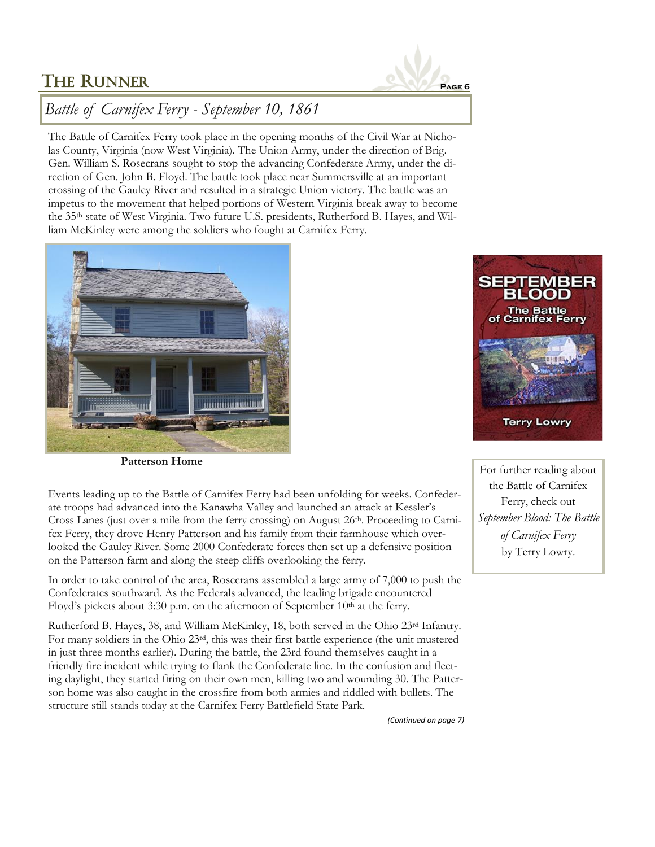

### *Battle of Carnifex Ferry - September 10, 1861*

The Battle of Carnifex Ferry took place in the opening months of the Civil War at Nicholas County, Virginia (now West Virginia). The Union Army, under the direction of Brig. Gen. William S. Rosecrans sought to stop the advancing Confederate Army, under the direction of Gen. John B. Floyd. The battle took place near Summersville at an important crossing of the Gauley River and resulted in a strategic Union victory. The battle was an impetus to the movement that helped portions of Western Virginia break away to become the 35th state of West Virginia. Two future U.S. presidents, Rutherford B. Hayes, and William McKinley were among the soldiers who fought at Carnifex Ferry.





**Patterson Home**

Events leading up to the Battle of Carnifex Ferry had been unfolding for weeks. Confederate troops had advanced into the Kanawha Valley and launched an attack at Kessler's Cross Lanes (just over a mile from the ferry crossing) on August 26<sup>th</sup>. Proceeding to Carnifex Ferry, they drove Henry Patterson and his family from their farmhouse which overlooked the Gauley River. Some 2000 Confederate forces then set up a defensive position on the Patterson farm and along the steep cliffs overlooking the ferry.

In order to take control of the area, Rosecrans assembled a large army of 7,000 to push the Confederates southward. As the Federals advanced, the leading brigade encountered Floyd's pickets about 3:30 p.m. on the afternoon of September 10<sup>th</sup> at the ferry.

Rutherford B. Hayes, 38, and William McKinley, 18, both served in the Ohio 23rd Infantry. For many soldiers in the Ohio 23rd, this was their first battle experience (the unit mustered in just three months earlier). During the battle, the 23rd found themselves caught in a friendly fire incident while trying to flank the Confederate line. In the confusion and fleeting daylight, they started firing on their own men, killing two and wounding 30. The Patterson home was also caught in the crossfire from both armies and riddled with bullets. The structure still stands today at the Carnifex Ferry Battlefield State Park.

the Battle of Carnifex Ferry, check out *September Blood: The Battle of Carnifex Ferry* by Terry Lowry.

For further reading about

*(Continued on page 7)*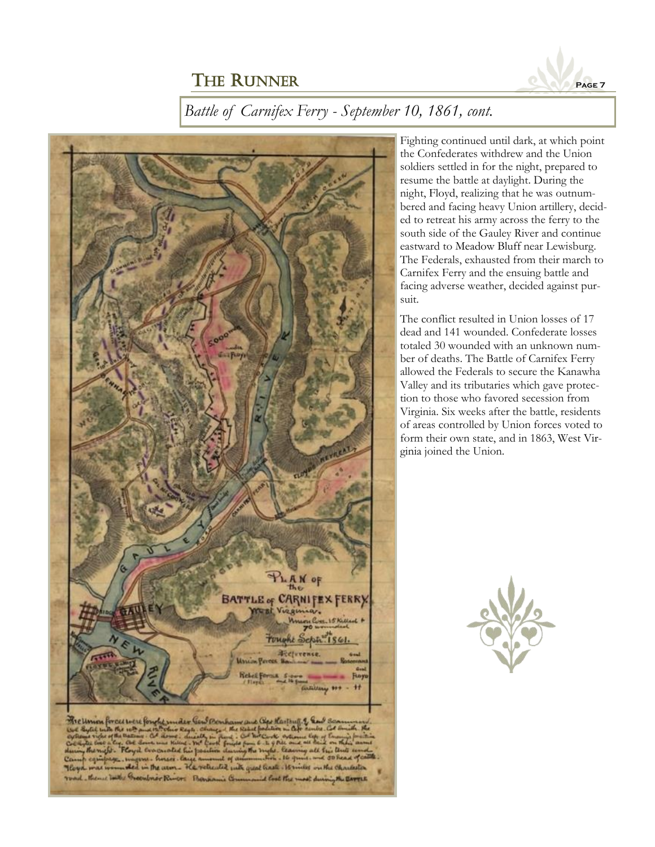

### *Battle of Carnifex Ferry - September 10, 1861, cont.*



soldiers settled in for the night, prepared to resume the battle at daylight. During the night, Floyd, realizing that he was outnumbered and facing heavy Union artillery, decided to retreat his army across the ferry to the south side of the Gauley River and continue eastward to Meadow Bluff near Lewisburg. The Federals, exhausted from their march to Carnifex Ferry and the ensuing battle and facing adverse weather, decided against pursuit. The conflict resulted in Union losses of 17

Fighting continued until dark, at which point the Confederates withdrew and the Union

dead and 141 wounded. Confederate losses totaled 30 wounded with an unknown number of deaths. The Battle of Carnifex Ferry allowed the Federals to secure the Kanawha Valley and its tributaries which gave protection to those who favored secession from Virginia. Six weeks after the battle, residents of areas controlled by Union forces voted to form their own state, and in 1863, West Virginia joined the Union.

its qual track . It miles on the charle Garatez id look the most during the BATTLE OF BOULANCE COM